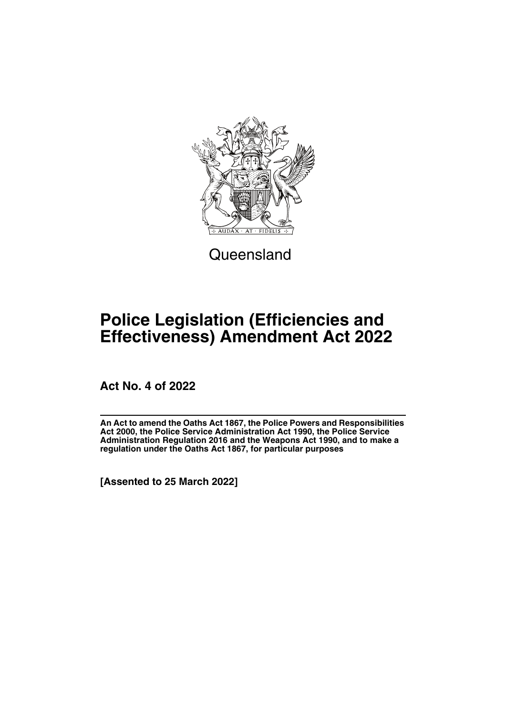

**Queensland** 

# **Police Legislation (Efficiencies and Effectiveness) Amendment Act 2022**

**Act No. 4 of 2022**

**An Act to amend the Oaths Act 1867, the Police Powers and Responsibilities Act 2000, the Police Service Administration Act 1990, the Police Service Administration Regulation 2016 and the Weapons Act 1990, and to make a regulation under the Oaths Act 1867, for particular purposes**

**[Assented to 25 March 2022]**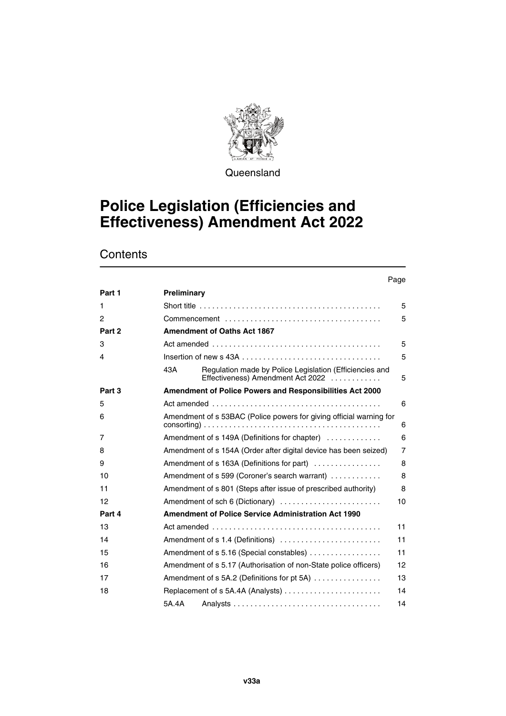

**Queensland** 

# **Police Legislation (Efficiencies and Effectiveness) Amendment Act 2022**

# **Contents**

#### Page

| Part 1 | Preliminary                                                                                         |                |
|--------|-----------------------------------------------------------------------------------------------------|----------------|
| 1      |                                                                                                     | 5              |
| 2      |                                                                                                     | 5              |
| Part 2 | <b>Amendment of Oaths Act 1867</b>                                                                  |                |
| 3      |                                                                                                     | 5              |
| 4      |                                                                                                     | 5              |
|        | Regulation made by Police Legislation (Efficiencies and<br>43A<br>Effectiveness) Amendment Act 2022 | 5              |
| Part 3 | <b>Amendment of Police Powers and Responsibilities Act 2000</b>                                     |                |
| 5      |                                                                                                     | 6              |
| 6      | Amendment of s 53BAC (Police powers for giving official warning for                                 | 6              |
| 7      | Amendment of s 149A (Definitions for chapter)                                                       | 6              |
| 8      | Amendment of s 154A (Order after digital device has been seized)                                    | $\overline{7}$ |
| 9      | Amendment of s 163A (Definitions for part)                                                          | 8              |
| 10     | Amendment of s 599 (Coroner's search warrant)                                                       | 8              |
| 11     | Amendment of s 801 (Steps after issue of prescribed authority)                                      | 8              |
| 12     | Amendment of sch 6 (Dictionary)                                                                     | 10             |
| Part 4 | <b>Amendment of Police Service Administration Act 1990</b>                                          |                |
| 13     |                                                                                                     | 11             |
| 14     | Amendment of s 1.4 (Definitions)                                                                    | 11             |
| 15     | Amendment of s 5.16 (Special constables)                                                            | 11             |
| 16     | Amendment of s 5.17 (Authorisation of non-State police officers)                                    | 12             |
| 17     | Amendment of s 5A.2 (Definitions for pt 5A)                                                         | 13             |
| 18     |                                                                                                     | 14             |
|        | 5A.4A                                                                                               | 14             |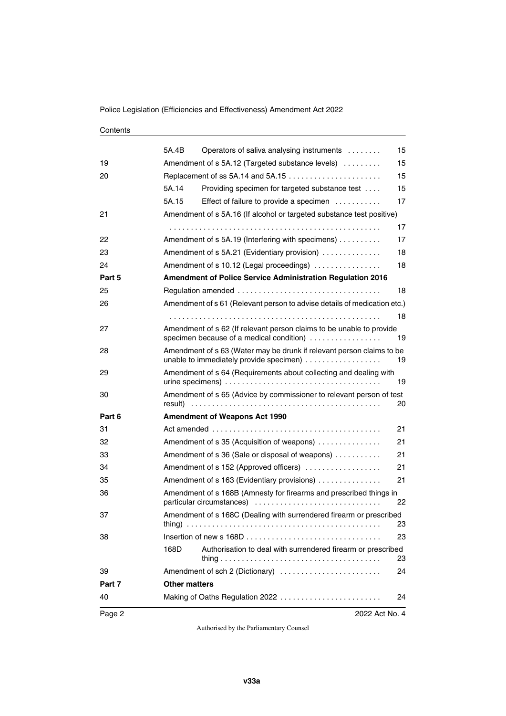#### **Contents**

| Page 2 | 2022 Act No. 4                                                                                                         |    |
|--------|------------------------------------------------------------------------------------------------------------------------|----|
| 40     | Making of Oaths Regulation 2022                                                                                        | 24 |
| Part 7 | <b>Other matters</b>                                                                                                   |    |
| 39     | Amendment of sch 2 (Dictionary)                                                                                        | 24 |
|        | Authorisation to deal with surrendered firearm or prescribed<br>168D                                                   | 23 |
| 38     |                                                                                                                        | 23 |
| 37     | Amendment of s 168C (Dealing with surrendered firearm or prescribed                                                    | 23 |
| 36     | Amendment of s 168B (Amnesty for firearms and prescribed things in<br>particular circumstances)                        | 22 |
| 35     | Amendment of s 163 (Evidentiary provisions)                                                                            | 21 |
| 34     | Amendment of s 152 (Approved officers)                                                                                 | 21 |
| 33     | Amendment of s 36 (Sale or disposal of weapons)                                                                        | 21 |
| 32     | Amendment of s 35 (Acquisition of weapons)                                                                             | 21 |
| 31     |                                                                                                                        | 21 |
| Part 6 | <b>Amendment of Weapons Act 1990</b>                                                                                   |    |
| 30     | Amendment of s 65 (Advice by commissioner to relevant person of test                                                   | 20 |
| 29     | Amendment of s 64 (Requirements about collecting and dealing with                                                      | 19 |
| 28     | Amendment of s 63 (Water may be drunk if relevant person claims to be<br>unable to immediately provide specimen)<br>19 |    |
| 27     | Amendment of s 62 (If relevant person claims to be unable to provide<br>specimen because of a medical condition)       | 19 |
|        |                                                                                                                        | 18 |
| 26     | Amendment of s 61 (Relevant person to advise details of medication etc.)                                               |    |
| 25     |                                                                                                                        | 18 |
| Part 5 | <b>Amendment of Police Service Administration Regulation 2016</b>                                                      |    |
| 24     | Amendment of s 10.12 (Legal proceedings)                                                                               | 18 |
| 23     | Amendment of s 5A.21 (Evidentiary provision)                                                                           | 18 |
| 22     | Amendment of s 5A.19 (Interfering with specimens)                                                                      | 17 |
|        |                                                                                                                        | 17 |
| 21     | Amendment of s 5A.16 (If alcohol or targeted substance test positive)                                                  |    |
|        | 5A.15<br>Effect of failure to provide a specimen                                                                       | 17 |
|        | 5A.14<br>Providing specimen for targeted substance test                                                                | 15 |
| 20     |                                                                                                                        | 15 |
| 19     | Amendment of s 5A.12 (Targeted substance levels)                                                                       | 15 |
|        | 5A.4B<br>Operators of saliva analysing instruments                                                                     | 15 |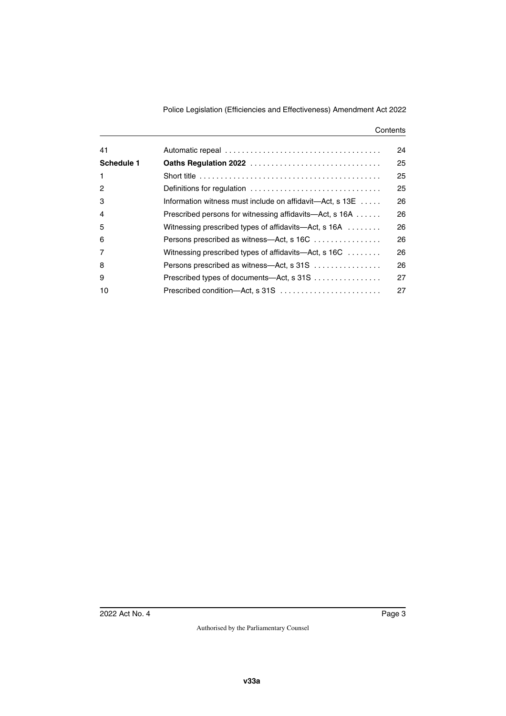#### **Contents**

| 41             |                                                                      | 24 |
|----------------|----------------------------------------------------------------------|----|
| Schedule 1     |                                                                      | 25 |
| $\mathbf{1}$   |                                                                      | 25 |
| 2              | Definitions for regulation                                           | 25 |
| 3              | Information witness must include on affidavit—Act, s 13E             | 26 |
| 4              | Prescribed persons for witnessing affidavits—Act, s 16A              | 26 |
| 5              | Witnessing prescribed types of affidavits—Act, s 16A                 | 26 |
| 6              | Persons prescribed as witness—Act, s 16C                             | 26 |
| $\overline{7}$ | Witnessing prescribed types of affidavits—Act, s $16C \ldots \ldots$ | 26 |
| 8              | Persons prescribed as witness—Act, s 31S                             | 26 |
| 9              |                                                                      | 27 |
| 10             | Prescribed condition—Act, s 31S                                      | 27 |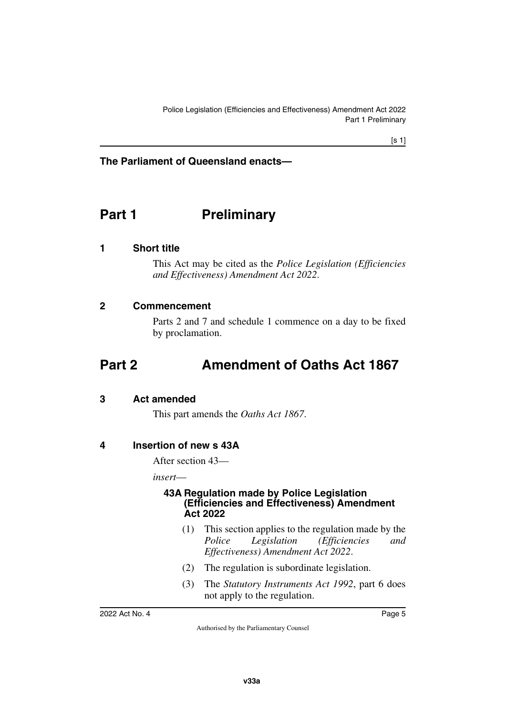### **The Parliament of Queensland enacts—**

# <span id="page-6-0"></span>**Part 1** Preliminary

### <span id="page-6-2"></span>**1 Short title**

<span id="page-6-3"></span><span id="page-6-1"></span>This Act may be cited as the *Police Legislation (Efficiencies and Effectiveness) Amendment Act 2022*.

### <span id="page-6-4"></span>**2 Commencement**

<span id="page-6-7"></span><span id="page-6-5"></span>Parts 2 and 7 and schedule 1 commence on a day to be fixed by proclamation.

# <span id="page-6-6"></span>**Part 2 Amendment of Oaths Act 1867**

### <span id="page-6-8"></span>**3 Act amended**

<span id="page-6-11"></span><span id="page-6-9"></span>This part amends the *Oaths Act 1867*.

### <span id="page-6-10"></span>**4 Insertion of new s 43A**

After section 43—

*insert*—

### <span id="page-6-13"></span><span id="page-6-12"></span>**43A Regulation made by Police Legislation (Efficiencies and Effectiveness) Amendment Act 2022**

- (1) This section applies to the regulation made by the *Police Legislation (Efficiencies and Effectiveness) Amendment Act 2022*.
- (2) The regulation is subordinate legislation.
- (3) The *Statutory Instruments Act 1992*, part 6 does not apply to the regulation.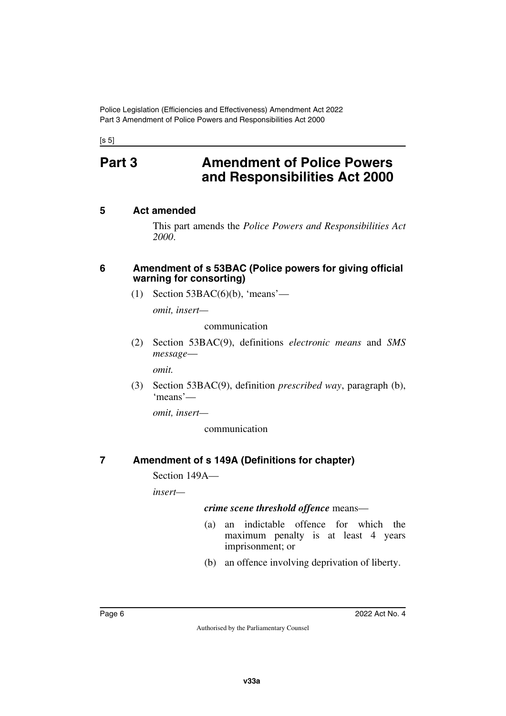<span id="page-7-0"></span> $[s 5]$ 

# **Part 3 Amendment of Police Powers and Responsibilities Act 2000**

### <span id="page-7-2"></span>**5 Act amended**

<span id="page-7-3"></span><span id="page-7-1"></span>This part amends the *Police Powers and Responsibilities Act 2000*.

### <span id="page-7-4"></span>**6 Amendment of s 53BAC (Police powers for giving official warning for consorting)**

<span id="page-7-5"></span>(1) Section  $53BAC(6)(b)$ , 'means'—

*omit, insert—*

communication

(2) Section 53BAC(9), definitions *electronic means* and *SMS message*—

*omit.*

(3) Section 53BAC(9), definition *prescribed way*, paragraph (b), 'means'—

*omit, insert—*

communication

## <span id="page-7-6"></span>**7 Amendment of s 149A (Definitions for chapter)**

<span id="page-7-7"></span>Section 149A—

*insert—*

### *crime scene threshold offence* means—

- (a) an indictable offence for which the maximum penalty is at least 4 years imprisonment; or
- (b) an offence involving deprivation of liberty.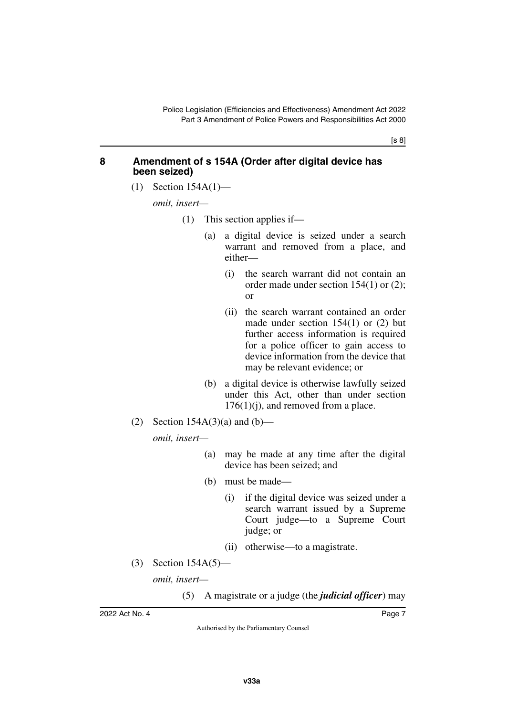[s 8]

### <span id="page-8-0"></span>**8 Amendment of s 154A (Order after digital device has been seized)**

<span id="page-8-1"></span>(1) Section 154A(1)—

*omit, insert—*

- (1) This section applies if—
	- (a) a digital device is seized under a search warrant and removed from a place, and either—
		- (i) the search warrant did not contain an order made under section 154(1) or (2); or
		- (ii) the search warrant contained an order made under section 154(1) or (2) but further access information is required for a police officer to gain access to device information from the device that may be relevant evidence; or
	- (b) a digital device is otherwise lawfully seized under this Act, other than under section  $176(1)(i)$ , and removed from a place.
- (2) Section  $154A(3)(a)$  and  $(b)$ —

*omit, insert—*

- (a) may be made at any time after the digital device has been seized; and
- (b) must be made—
	- (i) if the digital device was seized under a search warrant issued by a Supreme Court judge—to a Supreme Court judge; or
	- (ii) otherwise—to a magistrate.
- (3) Section 154A(5)—

*omit, insert—*

(5) A magistrate or a judge (the *judicial officer*) may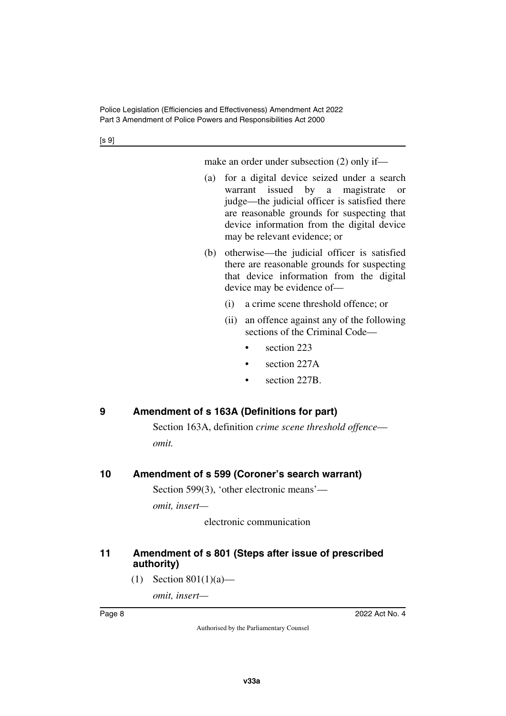[s 9]

make an order under subsection (2) only if—

- (a) for a digital device seized under a search warrant issued by a magistrate or judge—the judicial officer is satisfied there are reasonable grounds for suspecting that device information from the digital device may be relevant evidence; or
- (b) otherwise—the judicial officer is satisfied there are reasonable grounds for suspecting that device information from the digital device may be evidence of—
	- (i) a crime scene threshold offence; or
	- (ii) an offence against any of the following sections of the Criminal Code
		- section 223
		- section 227A
		- section 227B.

# <span id="page-9-0"></span>**9 Amendment of s 163A (Definitions for part)**

<span id="page-9-1"></span>Section 163A, definition *crime scene threshold offence omit.*

## <span id="page-9-2"></span>**10 Amendment of s 599 (Coroner's search warrant)**

<span id="page-9-3"></span>Section 599(3), 'other electronic means'—

*omit, insert—*

electronic communication

### <span id="page-9-5"></span><span id="page-9-4"></span>**11 Amendment of s 801 (Steps after issue of prescribed authority)**

(1) Section 801(1)(a)—

*omit, insert—*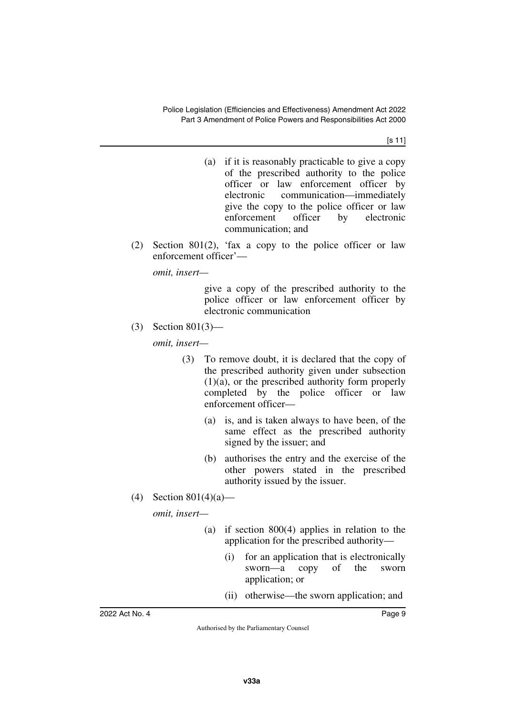[s 11]

- (a) if it is reasonably practicable to give a copy of the prescribed authority to the police officer or law enforcement officer by electronic communication—immediately give the copy to the police officer or law enforcement officer by electronic communication; and
- (2) Section 801(2), 'fax a copy to the police officer or law enforcement officer'—

*omit, insert—*

give a copy of the prescribed authority to the police officer or law enforcement officer by electronic communication

(3) Section 801(3)—

*omit, insert—*

- (3) To remove doubt, it is declared that the copy of the prescribed authority given under subsection (1)(a), or the prescribed authority form properly completed by the police officer or law enforcement officer—
	- (a) is, and is taken always to have been, of the same effect as the prescribed authority signed by the issuer; and
	- (b) authorises the entry and the exercise of the other powers stated in the prescribed authority issued by the issuer.
- (4) Section  $801(4)(a)$ —

*omit, insert—*

- (a) if section 800(4) applies in relation to the application for the prescribed authority—
	- (i) for an application that is electronically sworn—a copy of the sworn application; or
	- (ii) otherwise—the sworn application; and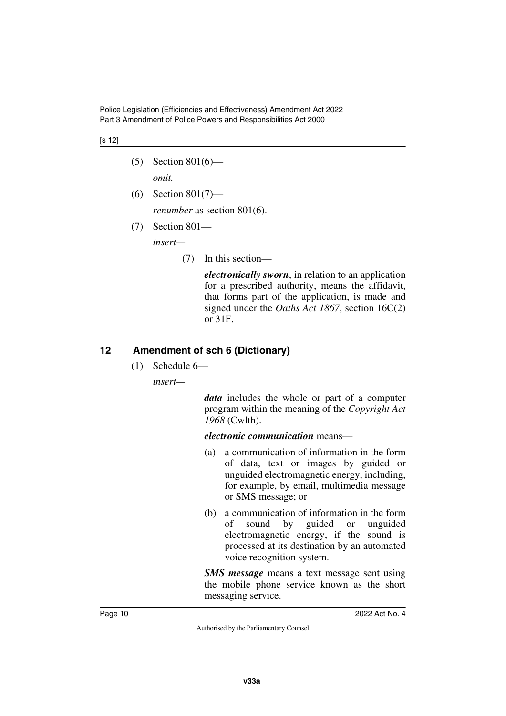Police Legislation (Efficiencies and Effectiveness) Amendment Act 2022 Part 3 Amendment of Police Powers and Responsibilities Act 2000

#### [s 12]

- (5) Section 801(6) *omit.*
- (6) Section 801(7)—

*renumber* as section 801(6).

(7) Section 801—

*insert—*

(7) In this section—

*electronically sworn*, in relation to an application for a prescribed authority, means the affidavit, that forms part of the application, is made and signed under the *Oaths Act 1867*, section 16C(2) or 31F.

### <span id="page-11-0"></span>**12 Amendment of sch 6 (Dictionary)**

<span id="page-11-1"></span>(1) Schedule 6—

*insert—*

*data* includes the whole or part of a computer program within the meaning of the *Copyright Act 1968* (Cwlth).

*electronic communication* means—

- (a) a communication of information in the form of data, text or images by guided or unguided electromagnetic energy, including, for example, by email, multimedia message or SMS message; or
- (b) a communication of information in the form of sound by guided or unguided electromagnetic energy, if the sound is processed at its destination by an automated voice recognition system.

*SMS message* means a text message sent using the mobile phone service known as the short messaging service.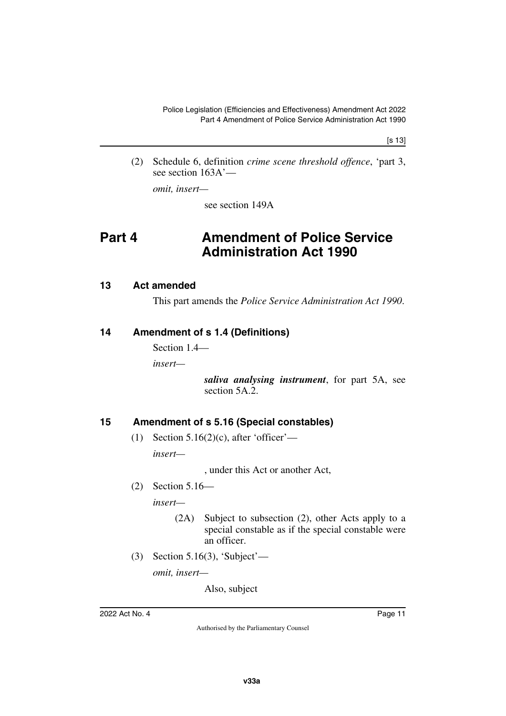[s 13]

(2) Schedule 6, definition *crime scene threshold offence*, 'part 3, see section 163A'—

*omit, insert—*

<span id="page-12-1"></span>see section 149A

# <span id="page-12-0"></span>**Part 4 Amendment of Police Service Administration Act 1990**

### <span id="page-12-2"></span>**13 Act amended**

<span id="page-12-5"></span><span id="page-12-3"></span>This part amends the *Police Service Administration Act 1990*.

### <span id="page-12-4"></span>**14 Amendment of s 1.4 (Definitions)**

Section 1.4—

*insert—*

*saliva analysing instrument*, for part 5A, see section 5A.2.

### <span id="page-12-6"></span>**15 Amendment of s 5.16 (Special constables)**

<span id="page-12-7"></span>(1) Section  $5.16(2)(c)$ , after 'officer'—

*insert—*

, under this Act or another Act,

(2) Section 5.16—

*insert—*

- (2A) Subject to subsection (2), other Acts apply to a special constable as if the special constable were an officer.
- (3) Section 5.16(3), 'Subject'—

*omit, insert—*

Also, subject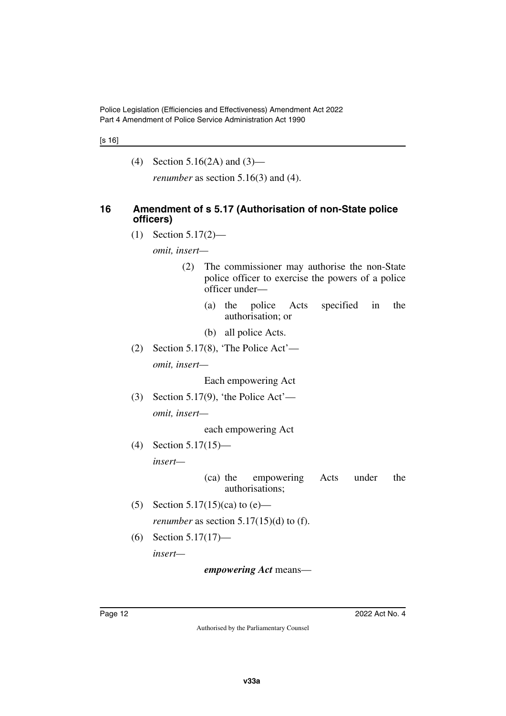#### [s 16]

(4) Section 5.16(2A) and (3)—

<span id="page-13-1"></span>*renumber* as section 5.16(3) and (4).

### <span id="page-13-0"></span>**16 Amendment of s 5.17 (Authorisation of non-State police officers)**

(1) Section 5.17(2)—

*omit, insert—*

- (2) The commissioner may authorise the non-State police officer to exercise the powers of a police officer under—
	- (a) the police Acts specified in the authorisation; or
	- (b) all police Acts.
- (2) Section 5.17(8), 'The Police Act' *omit, insert—*

Each empowering Act

(3) Section 5.17(9), 'the Police Act' *omit, insert—*

each empowering Act

(4) Section 5.17(15) *insert—*

> (ca) the empowering Acts under the authorisations;

- (5) Section 5.17(15)(ca) to  $(e)$  *renumber* as section  $5.17(15)(d)$  to (f).
- (6) Section 5.17(17) *insert—*

*empowering Act* means—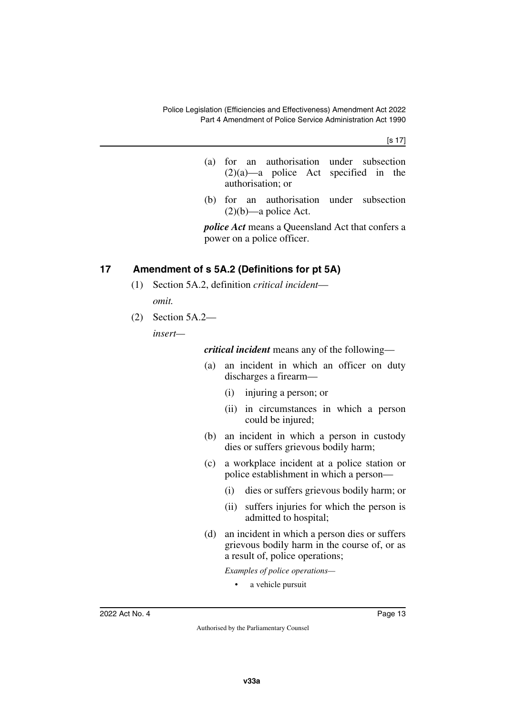[s 17]

- (a) for an authorisation under subsection (2)(a)—a police Act specified in the authorisation; or
- (b) for an authorisation under subsection  $(2)(b)$ —a police Act.

*police Act* means a Queensland Act that confers a power on a police officer.

## <span id="page-14-0"></span>**17 Amendment of s 5A.2 (Definitions for pt 5A)**

- <span id="page-14-1"></span>(1) Section 5A.2, definition *critical incident omit.*
- (2) Section 5A.2—

*insert—*

*critical incident* means any of the following—

- (a) an incident in which an officer on duty discharges a firearm—
	- (i) injuring a person; or
	- (ii) in circumstances in which a person could be injured;
- (b) an incident in which a person in custody dies or suffers grievous bodily harm;
- (c) a workplace incident at a police station or police establishment in which a person—
	- (i) dies or suffers grievous bodily harm; or
	- (ii) suffers injuries for which the person is admitted to hospital;
- (d) an incident in which a person dies or suffers grievous bodily harm in the course of, or as a result of, police operations;

*Examples of police operations—*

• a vehicle pursuit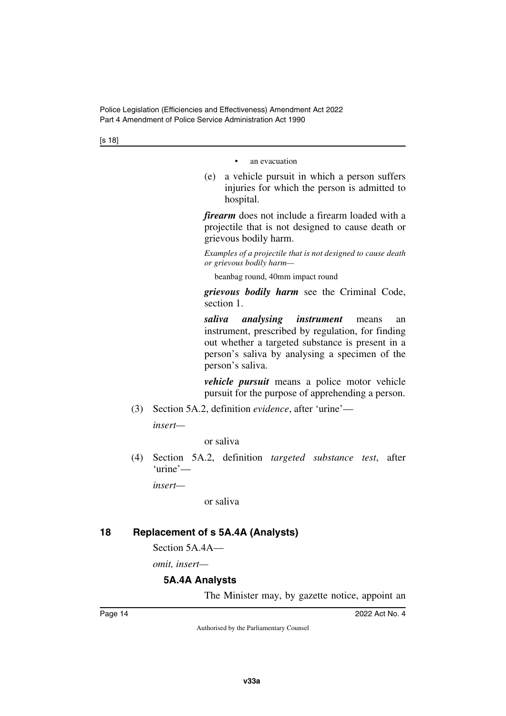[s 18]

an evacuation

(e) a vehicle pursuit in which a person suffers injuries for which the person is admitted to hospital.

*firearm* does not include a firearm loaded with a projectile that is not designed to cause death or grievous bodily harm.

*Examples of a projectile that is not designed to cause death or grievous bodily harm—*

beanbag round, 40mm impact round

*grievous bodily harm* see the Criminal Code, section 1.

*saliva analysing instrument* means an instrument, prescribed by regulation, for finding out whether a targeted substance is present in a person's saliva by analysing a specimen of the person's saliva.

*vehicle pursuit* means a police motor vehicle pursuit for the purpose of apprehending a person.

(3) Section 5A.2, definition *evidence*, after 'urine'—

*insert—*

or saliva

(4) Section 5A.2, definition *targeted substance test*, after 'urine'—

*insert—*

or saliva

## <span id="page-15-0"></span>**18 Replacement of s 5A.4A (Analysts)**

<span id="page-15-1"></span>Section 5A.4A—

*omit, insert—*

## <span id="page-15-2"></span>**5A.4A Analysts**

<span id="page-15-3"></span>The Minister may, by gazette notice, appoint an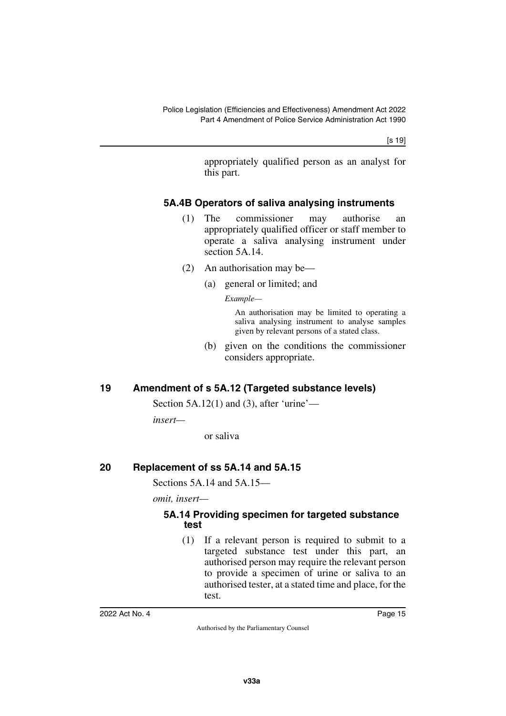[s 19]

appropriately qualified person as an analyst for this part.

### <span id="page-16-0"></span>**5A.4B Operators of saliva analysing instruments**

- <span id="page-16-1"></span>(1) The commissioner may authorise an appropriately qualified officer or staff member to operate a saliva analysing instrument under section 5A.14.
- (2) An authorisation may be—
	- (a) general or limited; and

*Example—*

An authorisation may be limited to operating a saliva analysing instrument to analyse samples given by relevant persons of a stated class.

(b) given on the conditions the commissioner considers appropriate.

## <span id="page-16-2"></span>**19 Amendment of s 5A.12 (Targeted substance levels)**

<span id="page-16-3"></span>Section  $5A.12(1)$  and  $(3)$ , after 'urine'—

*insert—*

or saliva

### <span id="page-16-4"></span>**20 Replacement of ss 5A.14 and 5A.15**

<span id="page-16-5"></span>Sections 5A.14 and 5A.15—

*omit, insert—*

### <span id="page-16-7"></span><span id="page-16-6"></span>**5A.14 Providing specimen for targeted substance test**

(1) If a relevant person is required to submit to a targeted substance test under this part, an authorised person may require the relevant person to provide a specimen of urine or saliva to an authorised tester, at a stated time and place, for the test.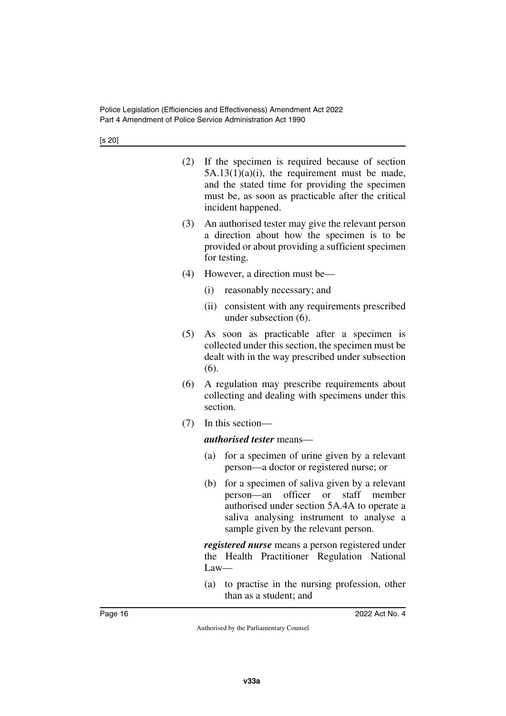- (2) If the specimen is required because of section  $5A.13(1)(a)(i)$ , the requirement must be made, and the stated time for providing the specimen must be, as soon as practicable after the critical incident happened.
- (3) An authorised tester may give the relevant person a direction about how the specimen is to be provided or about providing a sufficient specimen for testing.
- (4) However, a direction must be—
	- (i) reasonably necessary; and
	- (ii) consistent with any requirements prescribed under subsection (6).
- (5) As soon as practicable after a specimen is collected under this section, the specimen must be dealt with in the way prescribed under subsection  $(6)$ .
- (6) A regulation may prescribe requirements about collecting and dealing with specimens under this section.
- (7) In this section—

*authorised tester* means—

- (a) for a specimen of urine given by a relevant person—a doctor or registered nurse; or
- (b) for a specimen of saliva given by a relevant person—an officer or staff member authorised under section 5A.4A to operate a saliva analysing instrument to analyse a sample given by the relevant person.

*registered nurse* means a person registered under the Health Practitioner Regulation National Law—

(a) to practise in the nursing profession, other than as a student; and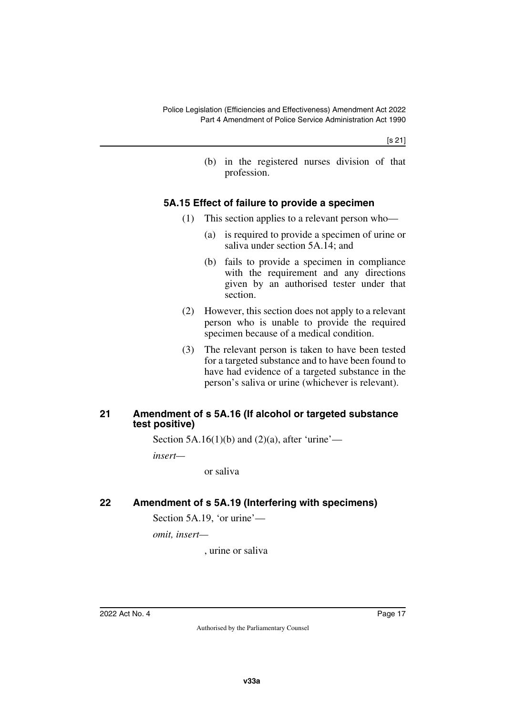(b) in the registered nurses division of that profession.

### <span id="page-18-0"></span>**5A.15 Effect of failure to provide a specimen**

- <span id="page-18-1"></span>(1) This section applies to a relevant person who—
	- (a) is required to provide a specimen of urine or saliva under section 5A.14; and
	- (b) fails to provide a specimen in compliance with the requirement and any directions given by an authorised tester under that section.
- (2) However, this section does not apply to a relevant person who is unable to provide the required specimen because of a medical condition.
- (3) The relevant person is taken to have been tested for a targeted substance and to have been found to have had evidence of a targeted substance in the person's saliva or urine (whichever is relevant).

### <span id="page-18-3"></span><span id="page-18-2"></span>**21 Amendment of s 5A.16 (If alcohol or targeted substance test positive)**

Section 5A.16(1)(b) and (2)(a), after 'urine'—

*insert—*

or saliva

# <span id="page-18-4"></span>**22 Amendment of s 5A.19 (Interfering with specimens)**

<span id="page-18-5"></span>Section 5A.19, 'or urine'—

*omit, insert—*

, urine or saliva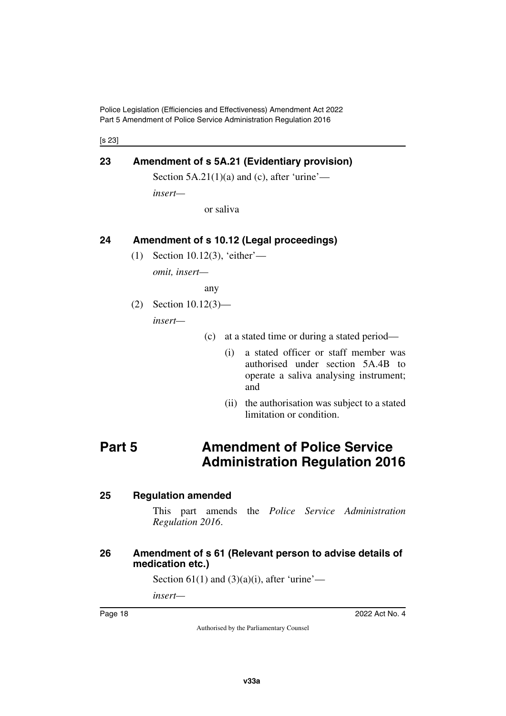Police Legislation (Efficiencies and Effectiveness) Amendment Act 2022 Part 5 Amendment of Police Service Administration Regulation 2016

[s 23]

### <span id="page-19-0"></span>**23 Amendment of s 5A.21 (Evidentiary provision)**

<span id="page-19-1"></span>Section  $5A.21(1)(a)$  and (c), after 'urine'—

*insert—*

or saliva

### <span id="page-19-2"></span>**24 Amendment of s 10.12 (Legal proceedings)**

<span id="page-19-3"></span>(1) Section 10.12(3), 'either'—

*omit, insert—*

any

(2) Section 10.12(3)—

*insert—*

- (c) at a stated time or during a stated period—
	- (i) a stated officer or staff member was authorised under section 5A.4B to operate a saliva analysing instrument; and
	- (ii) the authorisation was subject to a stated limitation or condition.

# <span id="page-19-4"></span>**Part 5 Amendment of Police Service Administration Regulation 2016**

### <span id="page-19-6"></span>**25 Regulation amended**

<span id="page-19-7"></span><span id="page-19-5"></span>This part amends the *Police Service Administration Regulation 2016*.

### <span id="page-19-9"></span><span id="page-19-8"></span>**26 Amendment of s 61 (Relevant person to advise details of medication etc.)**

Section  $61(1)$  and  $(3)(a)(i)$ , after 'urine'—

*insert—*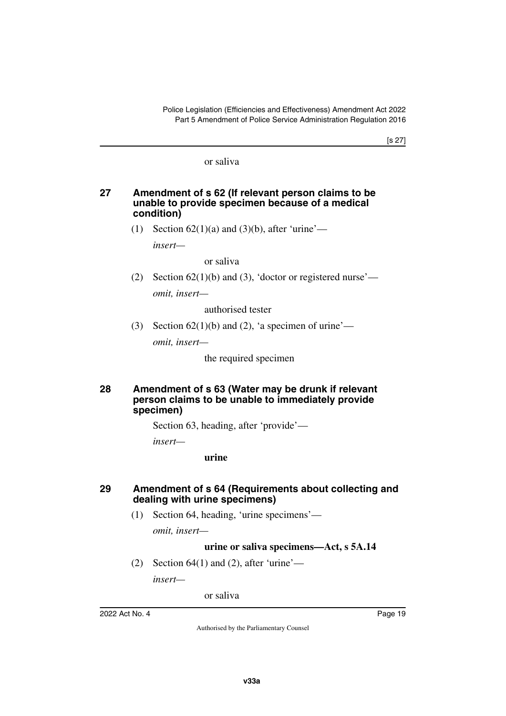### or saliva

### <span id="page-20-1"></span><span id="page-20-0"></span>**27 Amendment of s 62 (If relevant person claims to be unable to provide specimen because of a medical condition)**

(1) Section  $62(1)(a)$  and  $(3)(b)$ , after 'urine'—

*insert—*

or saliva

(2) Section  $62(1)(b)$  and (3), 'doctor or registered nurse' *omit, insert—*

authorised tester

(3) Section  $62(1)(b)$  and (2), 'a specimen of urine'—

*omit, insert—*

the required specimen

### <span id="page-20-3"></span><span id="page-20-2"></span>**28 Amendment of s 63 (Water may be drunk if relevant person claims to be unable to immediately provide specimen)**

Section 63, heading, after 'provide'—

*insert—*

**urine**

### <span id="page-20-5"></span><span id="page-20-4"></span>**29 Amendment of s 64 (Requirements about collecting and dealing with urine specimens)**

(1) Section 64, heading, 'urine specimens'—

*omit, insert—*

### **urine or saliva specimens—Act, s 5A.14**

(2) Section  $64(1)$  and (2), after 'urine'—

*insert—*

or saliva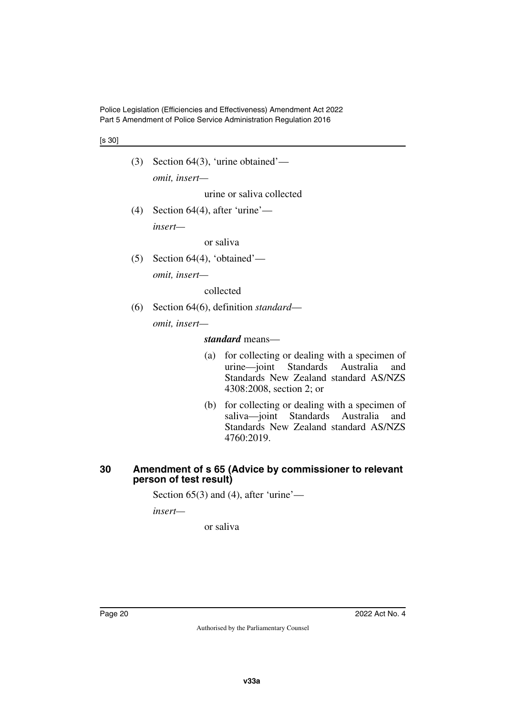Police Legislation (Efficiencies and Effectiveness) Amendment Act 2022 Part 5 Amendment of Police Service Administration Regulation 2016

#### [s 30]

- (3) Section 64(3), 'urine obtained' *omit, insert* urine or saliva collected
- (4) Section  $64(4)$ , after 'urine' *insert—*

or saliva

(5) Section 64(4), 'obtained' *omit, insert—*

collected

(6) Section 64(6), definition *standard omit, insert—*

#### *standard* means—

- (a) for collecting or dealing with a specimen of urine—joint Standards Australia and Standards New Zealand standard AS/NZS 4308:2008, section 2; or
- (b) for collecting or dealing with a specimen of saliva—joint Standards Australia and Standards New Zealand standard AS/NZS 4760:2019.

### <span id="page-21-1"></span><span id="page-21-0"></span>**30 Amendment of s 65 (Advice by commissioner to relevant person of test result)**

Section  $65(3)$  and (4), after 'urine'—

*insert—*

or saliva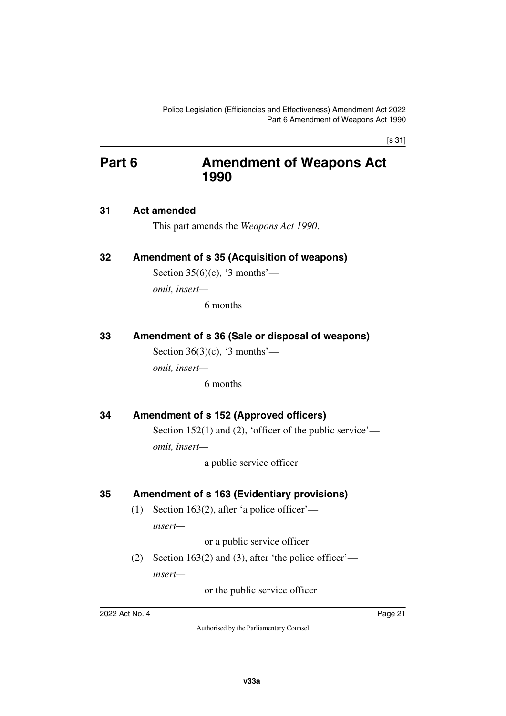[s 31]

# <span id="page-22-0"></span>**Part 6 Amendment of Weapons Act 1990**

### <span id="page-22-2"></span>**31 Act amended**

<span id="page-22-5"></span><span id="page-22-3"></span><span id="page-22-1"></span>This part amends the *Weapons Act 1990*.

### <span id="page-22-4"></span>**32 Amendment of s 35 (Acquisition of weapons)**

Section  $35(6)(c)$ , '3 months'—

*omit, insert—*

6 months

### <span id="page-22-6"></span>**33 Amendment of s 36 (Sale or disposal of weapons)**

<span id="page-22-7"></span>Section  $36(3)(c)$ , '3 months'—

*omit, insert—*

6 months

### <span id="page-22-8"></span>**34 Amendment of s 152 (Approved officers)**

<span id="page-22-9"></span>Section 152(1) and (2), 'officer of the public service' *omit, insert—*

a public service officer

### <span id="page-22-10"></span>**35 Amendment of s 163 (Evidentiary provisions)**

<span id="page-22-11"></span>(1) Section 163(2), after 'a police officer' *insert—*

or a public service officer

(2) Section 163(2) and (3), after 'the police officer' *insert—*

or the public service officer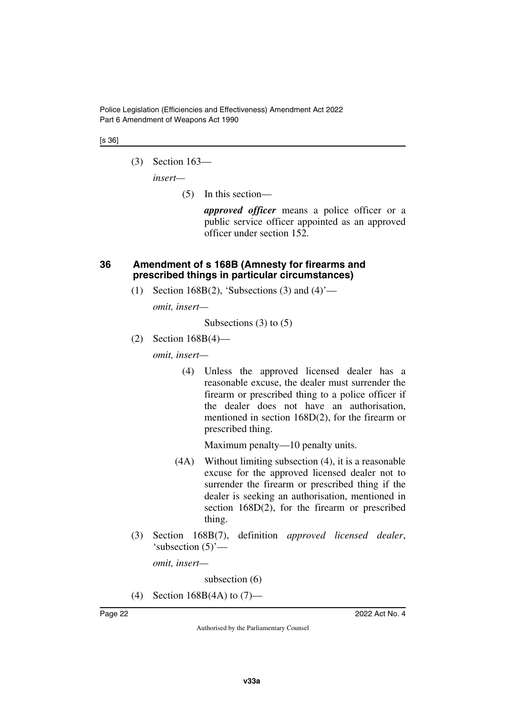Police Legislation (Efficiencies and Effectiveness) Amendment Act 2022 Part 6 Amendment of Weapons Act 1990

#### [s 36]

(3) Section 163—

*insert—*

(5) In this section—

*approved officer* means a police officer or a public service officer appointed as an approved officer under section 152.

### <span id="page-23-1"></span><span id="page-23-0"></span>**36 Amendment of s 168B (Amnesty for firearms and prescribed things in particular circumstances)**

(1) Section 168B(2), 'Subsections (3) and  $(4)$ '—

*omit, insert—*

Subsections (3) to (5)

(2) Section 168B(4)—

*omit, insert—*

(4) Unless the approved licensed dealer has a reasonable excuse, the dealer must surrender the firearm or prescribed thing to a police officer if the dealer does not have an authorisation, mentioned in section 168D(2), for the firearm or prescribed thing.

Maximum penalty—10 penalty units.

- (4A) Without limiting subsection (4), it is a reasonable excuse for the approved licensed dealer not to surrender the firearm or prescribed thing if the dealer is seeking an authorisation, mentioned in section 168D(2), for the firearm or prescribed thing.
- (3) Section 168B(7), definition *approved licensed dealer*, 'subsection (5)'—

*omit, insert—*

subsection (6)

(4) Section 168B(4A) to (7)—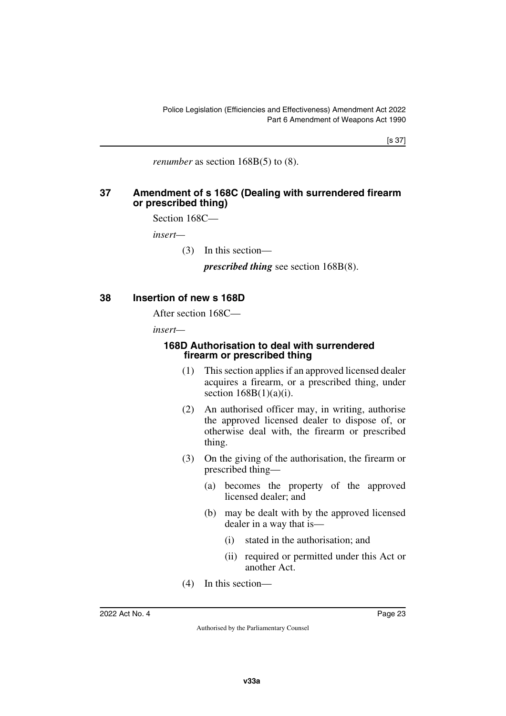[s 37]

<span id="page-24-1"></span>*renumber* as section 168B(5) to (8).

### <span id="page-24-0"></span>**37 Amendment of s 168C (Dealing with surrendered firearm or prescribed thing)**

Section 168C—

*insert—*

(3) In this section—

*prescribed thing* see section 168B(8).

### <span id="page-24-2"></span>**38 Insertion of new s 168D**

<span id="page-24-3"></span>After section 168C—

*insert—*

### <span id="page-24-5"></span><span id="page-24-4"></span>**168D Authorisation to deal with surrendered firearm or prescribed thing**

- (1) This section applies if an approved licensed dealer acquires a firearm, or a prescribed thing, under section  $168B(1)(a)(i)$ .
- (2) An authorised officer may, in writing, authorise the approved licensed dealer to dispose of, or otherwise deal with, the firearm or prescribed thing.
- (3) On the giving of the authorisation, the firearm or prescribed thing—
	- (a) becomes the property of the approved licensed dealer; and
	- (b) may be dealt with by the approved licensed dealer in a way that is—
		- (i) stated in the authorisation; and
		- (ii) required or permitted under this Act or another Act.
- (4) In this section—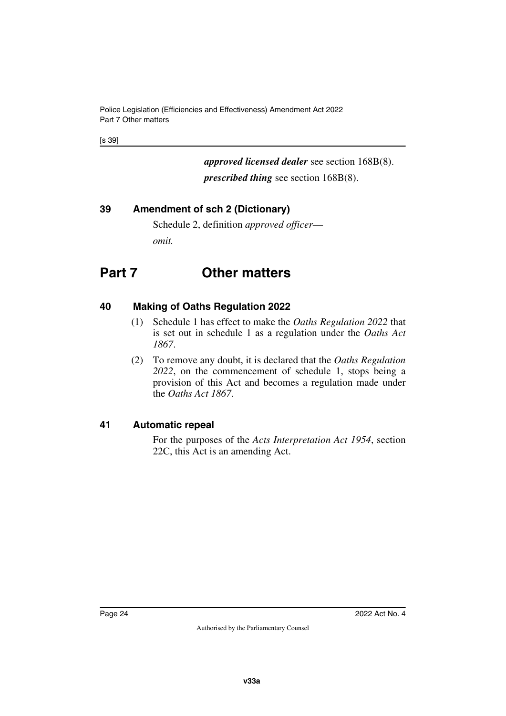Police Legislation (Efficiencies and Effectiveness) Amendment Act 2022 Part 7 Other matters

[s 39]

*approved licensed dealer* see section 168B(8). *prescribed thing* see section 168B(8).

## <span id="page-25-0"></span>**39 Amendment of sch 2 (Dictionary)**

<span id="page-25-3"></span><span id="page-25-1"></span>Schedule 2, definition *approved officer omit.*

# <span id="page-25-2"></span>**Part 7 Other matters**

## <span id="page-25-4"></span>**40 Making of Oaths Regulation 2022**

- <span id="page-25-5"></span>(1) Schedule 1 has effect to make the *Oaths Regulation 2022* that is set out in schedule 1 as a regulation under the *Oaths Act 1867*.
- (2) To remove any doubt, it is declared that the *Oaths Regulation 2022*, on the commencement of schedule 1, stops being a provision of this Act and becomes a regulation made under the *Oaths Act 1867*.

### <span id="page-25-6"></span>**41 Automatic repeal**

<span id="page-25-7"></span>For the purposes of the *Acts Interpretation Act 1954*, section 22C, this Act is an amending Act.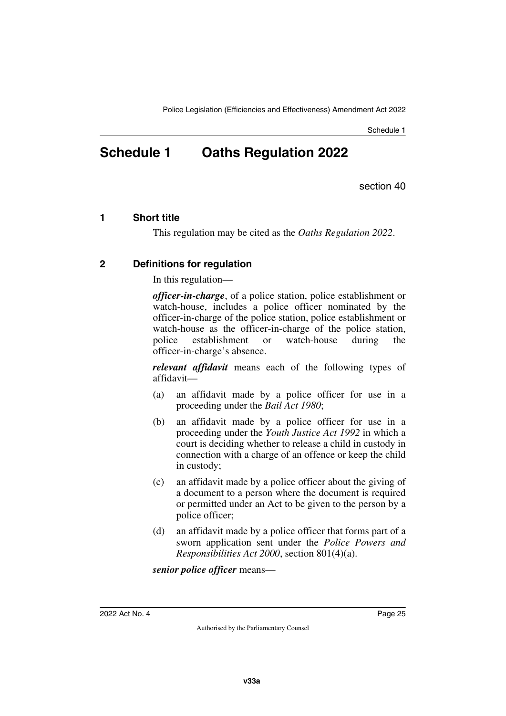Schedule 1

# <span id="page-26-1"></span><span id="page-26-0"></span>**Schedule 1 Oaths Regulation 2022**

section 40

### <span id="page-26-2"></span>**1 Short title**

<span id="page-26-5"></span><span id="page-26-3"></span>This regulation may be cited as the *Oaths Regulation 2022*.

### <span id="page-26-4"></span>**2 Definitions for regulation**

In this regulation—

*officer-in-charge*, of a police station, police establishment or watch-house, includes a police officer nominated by the officer-in-charge of the police station, police establishment or watch-house as the officer-in-charge of the police station, police establishment or watch-house during the officer-in-charge's absence.

*relevant affidavit* means each of the following types of affidavit—

- (a) an affidavit made by a police officer for use in a proceeding under the *Bail Act 1980*;
- (b) an affidavit made by a police officer for use in a proceeding under the *Youth Justice Act 1992* in which a court is deciding whether to release a child in custody in connection with a charge of an offence or keep the child in custody;
- (c) an affidavit made by a police officer about the giving of a document to a person where the document is required or permitted under an Act to be given to the person by a police officer;
- (d) an affidavit made by a police officer that forms part of a sworn application sent under the *Police Powers and Responsibilities Act 2000*, section 801(4)(a).

*senior police officer* means—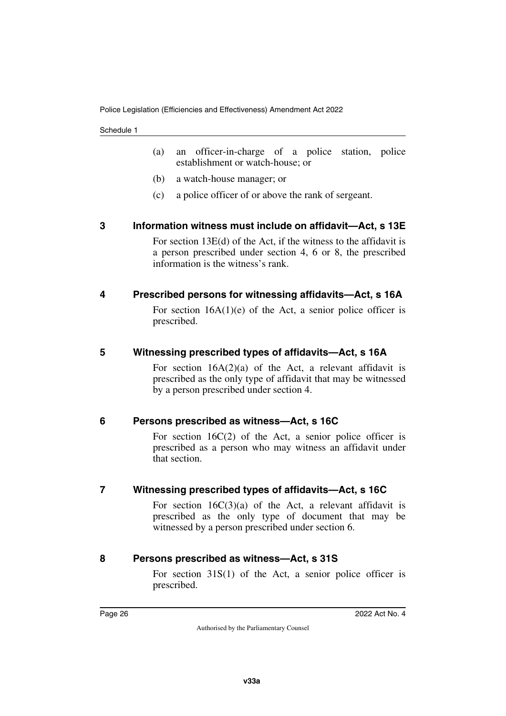Schedule 1

- (a) an officer-in-charge of a police station, police establishment or watch-house; or
- (b) a watch-house manager; or
- <span id="page-27-1"></span>(c) a police officer of or above the rank of sergeant.

### <span id="page-27-0"></span>**3 Information witness must include on affidavit—Act, s 13E**

For section 13E(d) of the Act, if the witness to the affidavit is a person prescribed under section 4, 6 or 8, the prescribed information is the witness's rank.

### <span id="page-27-2"></span>**4 Prescribed persons for witnessing affidavits—Act, s 16A**

<span id="page-27-3"></span>For section  $16A(1)(e)$  of the Act, a senior police officer is prescribed.

### <span id="page-27-4"></span>**5 Witnessing prescribed types of affidavits—Act, s 16A**

<span id="page-27-5"></span>For section  $16A(2)(a)$  of the Act, a relevant affidavit is prescribed as the only type of affidavit that may be witnessed by a person prescribed under section 4.

### <span id="page-27-6"></span>**6 Persons prescribed as witness—Act, s 16C**

<span id="page-27-7"></span>For section 16C(2) of the Act, a senior police officer is prescribed as a person who may witness an affidavit under that section.

### <span id="page-27-8"></span>**7 Witnessing prescribed types of affidavits—Act, s 16C**

<span id="page-27-9"></span>For section  $16C(3)(a)$  of the Act, a relevant affidavit is prescribed as the only type of document that may be witnessed by a person prescribed under section 6.

### <span id="page-27-10"></span>**8 Persons prescribed as witness—Act, s 31S**

<span id="page-27-11"></span>For section 31S(1) of the Act, a senior police officer is prescribed.